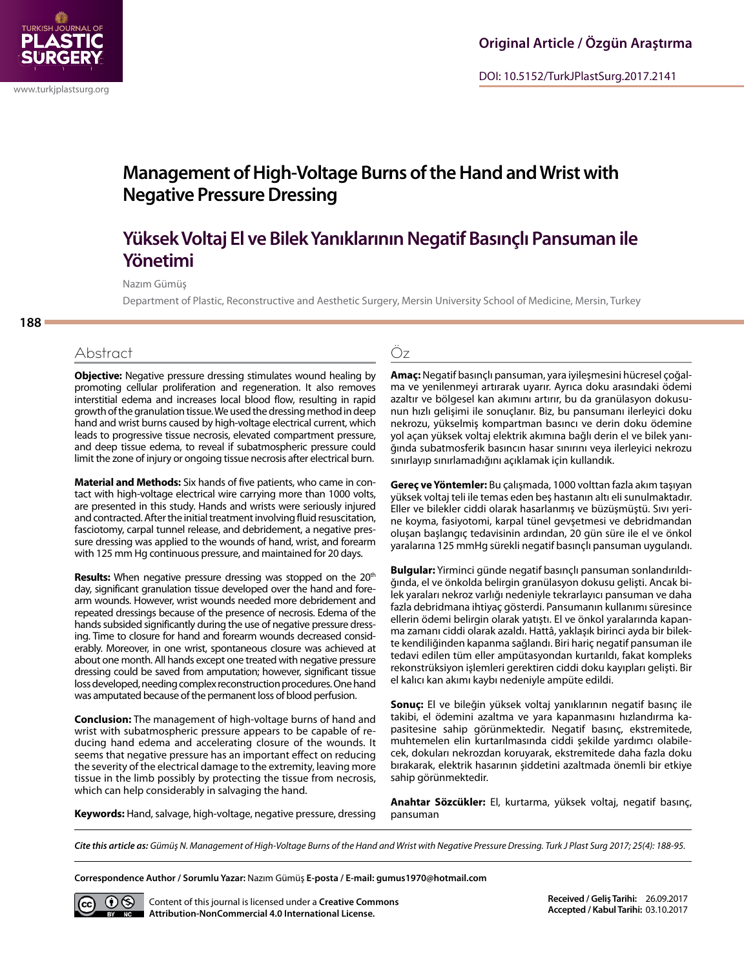

# **Management of High-Voltage Burns of the Hand and Wrist with Negative Pressure Dressing**

# **Yüksek Voltaj El ve Bilek Yanıklarının Negatif Basınçlı Pansuman ile Yönetimi**

Nazım Gümüş

Department of Plastic, Reconstructive and Aesthetic Surgery, Mersin University School of Medicine, Mersin, Turkey

## **Abstract**

**Objective:** Negative pressure dressing stimulates wound healing by promoting cellular proliferation and regeneration. It also removes interstitial edema and increases local blood flow, resulting in rapid growth of the granulation tissue. We used the dressing method in deep hand and wrist burns caused by high-voltage electrical current, which leads to progressive tissue necrosis, elevated compartment pressure, and deep tissue edema, to reveal if subatmospheric pressure could limit the zone of injury or ongoing tissue necrosis after electrical burn.

**Material and Methods:** Six hands of five patients, who came in contact with high-voltage electrical wire carrying more than 1000 volts, are presented in this study. Hands and wrists were seriously injured and contracted. After the initial treatment involving fluid resuscitation, fasciotomy, carpal tunnel release, and debridement, a negative pressure dressing was applied to the wounds of hand, wrist, and forearm with 125 mm Hg continuous pressure, and maintained for 20 days.

**Results:** When negative pressure dressing was stopped on the 20<sup>th</sup> day, significant granulation tissue developed over the hand and forearm wounds. However, wrist wounds needed more debridement and repeated dressings because of the presence of necrosis. Edema of the hands subsided significantly during the use of negative pressure dressing. Time to closure for hand and forearm wounds decreased considerably. Moreover, in one wrist, spontaneous closure was achieved at about one month. All hands except one treated with negative pressure dressing could be saved from amputation; however, significant tissue loss developed, needing complex reconstruction procedures. One hand was amputated because of the permanent loss of blood perfusion.

**Conclusion:** The management of high-voltage burns of hand and wrist with subatmospheric pressure appears to be capable of reducing hand edema and accelerating closure of the wounds. It seems that negative pressure has an important effect on reducing the severity of the electrical damage to the extremity, leaving more tissue in the limb possibly by protecting the tissue from necrosis, which can help considerably in salvaging the hand.

## Öz

**Amaç:** Negatif basınçlı pansuman, yara iyileşmesini hücresel çoğalma ve yenilenmeyi artırarak uyarır. Ayrıca doku arasındaki ödemi azaltır ve bölgesel kan akımını artırır, bu da granülasyon dokusunun hızlı gelişimi ile sonuçlanır. Biz, bu pansumanı ilerleyici doku nekrozu, yükselmiş kompartman basıncı ve derin doku ödemine yol açan yüksek voltaj elektrik akımına bağlı derin el ve bilek yanığında subatmosferik basıncın hasar sınırını veya ilerleyici nekrozu sınırlayıp sınırlamadığını açıklamak için kullandık.

**Gereç ve Yöntemler:** Bu çalışmada, 1000 volttan fazla akım taşıyan yüksek voltaj teli ile temas eden beş hastanın altı eli sunulmaktadır. Eller ve bilekler ciddi olarak hasarlanmış ve büzüşmüştü. Sıvı yerine koyma, fasiyotomi, karpal tünel gevşetmesi ve debridmandan oluşan başlangıç tedavisinin ardından, 20 gün süre ile el ve önkol yaralarına 125 mmHg sürekli negatif basınçlı pansuman uygulandı.

**Bulgular:** Yirminci günde negatif basınçlı pansuman sonlandırıldığında, el ve önkolda belirgin granülasyon dokusu gelişti. Ancak bilek yaraları nekroz varlığı nedeniyle tekrarlayıcı pansuman ve daha fazla debridmana ihtiyaç gösterdi. Pansumanın kullanımı süresince ellerin ödemi belirgin olarak yatıştı. El ve önkol yaralarında kapanma zamanı ciddi olarak azaldı. Hattâ, yaklaşık birinci ayda bir bilekte kendiliğinden kapanma sağlandı. Biri hariç negatif pansuman ile tedavi edilen tüm eller ampütasyondan kurtarıldı, fakat kompleks rekonstrüksiyon işlemleri gerektiren ciddi doku kayıpları gelişti. Bir el kalıcı kan akımı kaybı nedeniyle ampüte edildi.

**Sonuç:** El ve bileğin yüksek voltaj yanıklarının negatif basınç ile takibi, el ödemini azaltma ve yara kapanmasını hızlandırma kapasitesine sahip görünmektedir. Negatif basınç, ekstremitede, muhtemelen elin kurtarılmasında ciddi şekilde yardımcı olabilecek, dokuları nekrozdan koruyarak, ekstremitede daha fazla doku bırakarak, elektrik hasarının şiddetini azaltmada önemli bir etkiye sahip görünmektedir.

**Keywords:** Hand, salvage, high-voltage, negative pressure, dressing

**Anahtar Sözcükler:** El, kurtarma, yüksek voltaj, negatif basınç, pansuman

*Cite this article as: Gümüş N. Management of High-Voltage Burns of the Hand and Wrist with Negative Pressure Dressing. Turk J Plast Surg 2017; 25(4): 188-95.*

**Correspondence Author / Sorumlu Yazar:** Nazım Gümüş **E-posta / E-mail: gumus1970@hotmail.com**



[Content of this journal is licensed under a](https://creativecommons.org/licenses/by-nc/4.0/) **Creative Commons [Attribution-NonCommercial 4.0 International License.](https://creativecommons.org/licenses/by-nc/4.0/)**

**Received / Geliş Tarihi:** 26.09.2017 **Accepted / Kabul Tarihi:** 03.10.2017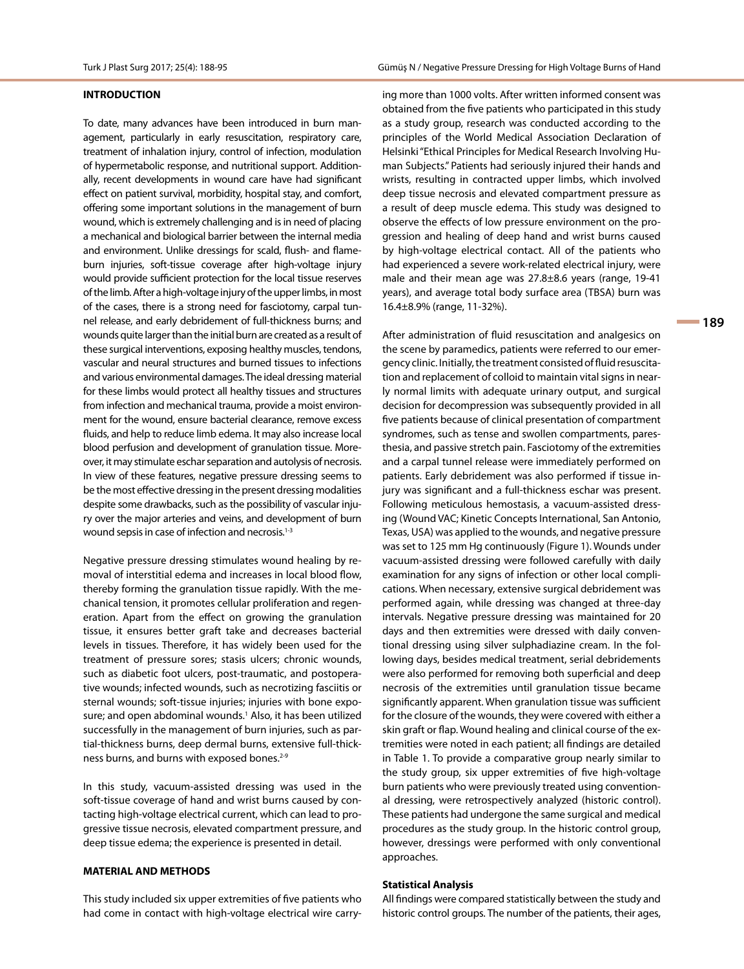#### **INTRODUCTION**

To date, many advances have been introduced in burn management, particularly in early resuscitation, respiratory care, treatment of inhalation injury, control of infection, modulation of hypermetabolic response, and nutritional support. Additionally, recent developments in wound care have had significant effect on patient survival, morbidity, hospital stay, and comfort, offering some important solutions in the management of burn wound, which is extremely challenging and is in need of placing a mechanical and biological barrier between the internal media and environment. Unlike dressings for scald, flush- and flameburn injuries, soft-tissue coverage after high-voltage injury would provide sufficient protection for the local tissue reserves of the limb. After a high-voltage injury of the upper limbs, in most of the cases, there is a strong need for fasciotomy, carpal tunnel release, and early debridement of full-thickness burns; and wounds quite larger than the initial burn are created as a result of these surgical interventions, exposing healthy muscles, tendons, vascular and neural structures and burned tissues to infections and various environmental damages. The ideal dressing material for these limbs would protect all healthy tissues and structures from infection and mechanical trauma, provide a moist environment for the wound, ensure bacterial clearance, remove excess fluids, and help to reduce limb edema. It may also increase local blood perfusion and development of granulation tissue. Moreover, it may stimulate eschar separation and autolysis of necrosis. In view of these features, negative pressure dressing seems to be the most effective dressing in the present dressing modalities despite some drawbacks, such as the possibility of vascular injury over the major arteries and veins, and development of burn wound sepsis in case of infection and necrosis.<sup>1-3</sup>

Negative pressure dressing stimulates wound healing by removal of interstitial edema and increases in local blood flow, thereby forming the granulation tissue rapidly. With the mechanical tension, it promotes cellular proliferation and regeneration. Apart from the effect on growing the granulation tissue, it ensures better graft take and decreases bacterial levels in tissues. Therefore, it has widely been used for the treatment of pressure sores; stasis ulcers; chronic wounds, such as diabetic foot ulcers, post-traumatic, and postoperative wounds; infected wounds, such as necrotizing fasciitis or sternal wounds; soft-tissue injuries; injuries with bone exposure; and open abdominal wounds.<sup>1</sup> Also, it has been utilized successfully in the management of burn injuries, such as partial-thickness burns, deep dermal burns, extensive full-thickness burns, and burns with exposed bones.<sup>2-9</sup>

In this study, vacuum-assisted dressing was used in the soft-tissue coverage of hand and wrist burns caused by contacting high-voltage electrical current, which can lead to progressive tissue necrosis, elevated compartment pressure, and deep tissue edema; the experience is presented in detail.

#### **MATERIAL AND METHODS**

This study included six upper extremities of five patients who had come in contact with high-voltage electrical wire carrying more than 1000 volts. After written informed consent was obtained from the five patients who participated in this study as a study group, research was conducted according to the principles of the World Medical Association Declaration of Helsinki "Ethical Principles for Medical Research Involving Human Subjects." Patients had seriously injured their hands and wrists, resulting in contracted upper limbs, which involved deep tissue necrosis and elevated compartment pressure as a result of deep muscle edema. This study was designed to observe the effects of low pressure environment on the progression and healing of deep hand and wrist burns caused by high-voltage electrical contact. All of the patients who had experienced a severe work-related electrical injury, were male and their mean age was 27.8±8.6 years (range, 19-41 years), and average total body surface area (TBSA) burn was 16.4±8.9% (range, 11-32%).

After administration of fluid resuscitation and analgesics on the scene by paramedics, patients were referred to our emergency clinic. Initially, the treatment consisted of fluid resuscitation and replacement of colloid to maintain vital signs in nearly normal limits with adequate urinary output, and surgical decision for decompression was subsequently provided in all five patients because of clinical presentation of compartment syndromes, such as tense and swollen compartments, paresthesia, and passive stretch pain. Fasciotomy of the extremities and a carpal tunnel release were immediately performed on patients. Early debridement was also performed if tissue injury was significant and a full-thickness eschar was present. Following meticulous hemostasis, a vacuum-assisted dressing (Wound VAC; Kinetic Concepts International, San Antonio, Texas, USA) was applied to the wounds, and negative pressure was set to 125 mm Hg continuously (Figure 1). Wounds under vacuum-assisted dressing were followed carefully with daily examination for any signs of infection or other local complications. When necessary, extensive surgical debridement was performed again, while dressing was changed at three-day intervals. Negative pressure dressing was maintained for 20 days and then extremities were dressed with daily conventional dressing using silver sulphadiazine cream. In the following days, besides medical treatment, serial debridements were also performed for removing both superficial and deep necrosis of the extremities until granulation tissue became significantly apparent. When granulation tissue was sufficient for the closure of the wounds, they were covered with either a skin graft or flap. Wound healing and clinical course of the extremities were noted in each patient; all findings are detailed in Table 1. To provide a comparative group nearly similar to the study group, six upper extremities of five high-voltage burn patients who were previously treated using conventional dressing, were retrospectively analyzed (historic control). These patients had undergone the same surgical and medical procedures as the study group. In the historic control group, however, dressings were performed with only conventional approaches.

#### **Statistical Analysis**

All findings were compared statistically between the study and historic control groups. The number of the patients, their ages,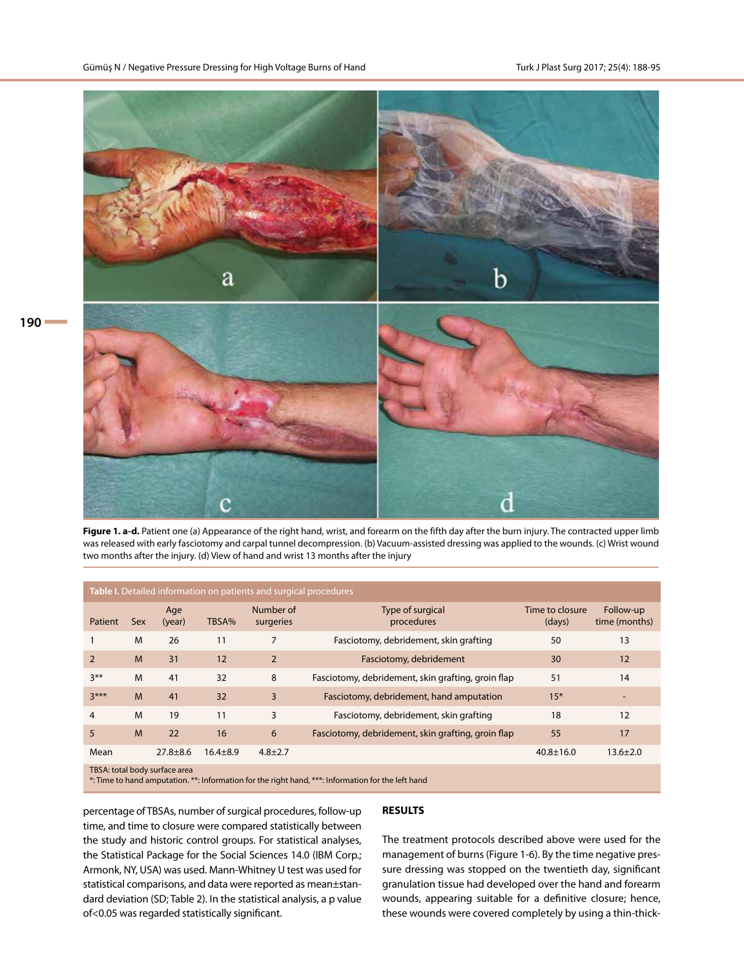

**Figure 1. a-d.** Patient one (a) Appearance of the right hand, wrist, and forearm on the fifth day after the burn injury. The contracted upper limb was released with early fasciotomy and carpal tunnel decompression. (b) Vacuum-assisted dressing was applied to the wounds. (c) Wrist wound two months after the injury. (d) View of hand and wrist 13 months after the injury

| Table I. Detailed information on patients and surgical procedures                                                              |     |               |                |                        |                                                    |                           |                            |  |  |  |  |
|--------------------------------------------------------------------------------------------------------------------------------|-----|---------------|----------------|------------------------|----------------------------------------------------|---------------------------|----------------------------|--|--|--|--|
| Patient                                                                                                                        | Sex | Age<br>(year) | TBSA%          | Number of<br>surgeries | Type of surgical<br>procedures                     | Time to closure<br>(days) | Follow-up<br>time (months) |  |  |  |  |
|                                                                                                                                | M   | 26            | 11             | 7                      | Fasciotomy, debridement, skin grafting             | 50                        | 13                         |  |  |  |  |
| $\mathcal{P}$                                                                                                                  | M   | 31            | 12             | $\overline{2}$         | Fasciotomy, debridement                            | 30                        | 12                         |  |  |  |  |
| $3***$                                                                                                                         | M   | 41            | 32             | 8                      | Fasciotomy, debridement, skin grafting, groin flap | 51                        | 14                         |  |  |  |  |
| $3***$                                                                                                                         | M   | 41            | 32             | 3                      | Fasciotomy, debridement, hand amputation           | $15*$                     |                            |  |  |  |  |
| 4                                                                                                                              | M   | 19            | 11             | 3                      | Fasciotomy, debridement, skin grafting             | 18                        | 12                         |  |  |  |  |
| 5                                                                                                                              | M   | 22            | 16             | 6                      | Fasciotomy, debridement, skin grafting, groin flap | 55                        | 17                         |  |  |  |  |
| Mean                                                                                                                           |     | $27.8 + 8.6$  | $16.4 \pm 8.9$ | $4.8 \pm 2.7$          |                                                    | $40.8 \pm 16.0$           | $13.6 \pm 2.0$             |  |  |  |  |
| TBSA: total body surface area<br>* Time to band amputation ** Information for the right hand *** Information for the left hand |     |               |                |                        |                                                    |                           |                            |  |  |  |  |

\*: Time to hand amputation. \*\*: Information for the right hand, \*\*\*: Information for the left hand

percentage of TBSAs, number of surgical procedures, follow-up time, and time to closure were compared statistically between the study and historic control groups. For statistical analyses, the Statistical Package for the Social Sciences 14.0 (IBM Corp.; Armonk, NY, USA) was used. Mann-Whitney U test was used for statistical comparisons, and data were reported as mean±standard deviation (SD; Table 2). In the statistical analysis, a p value of<0.05 was regarded statistically significant.

### **RESULTS**

The treatment protocols described above were used for the management of burns (Figure 1-6). By the time negative pressure dressing was stopped on the twentieth day, significant granulation tissue had developed over the hand and forearm wounds, appearing suitable for a definitive closure; hence, these wounds were covered completely by using a thin-thick-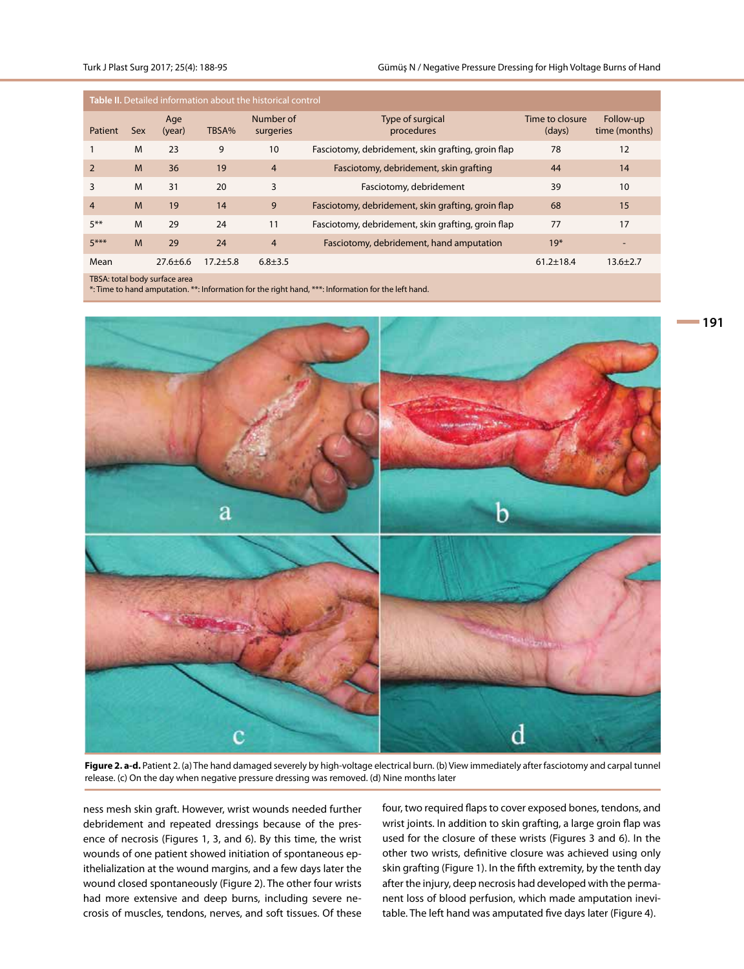| <b>Table II.</b> Detailed information about the historical control                                                                                                                                                                               |     |                |              |                        |                                                    |                           |                            |  |  |  |  |
|--------------------------------------------------------------------------------------------------------------------------------------------------------------------------------------------------------------------------------------------------|-----|----------------|--------------|------------------------|----------------------------------------------------|---------------------------|----------------------------|--|--|--|--|
| Patient                                                                                                                                                                                                                                          | Sex | Age<br>(year)  | TBSA%        | Number of<br>surgeries | Type of surgical<br>procedures                     | Time to closure<br>(days) | Follow-up<br>time (months) |  |  |  |  |
|                                                                                                                                                                                                                                                  | M   | 23             | 9            | 10                     | Fasciotomy, debridement, skin grafting, groin flap | 78                        | 12                         |  |  |  |  |
| 2                                                                                                                                                                                                                                                | M   | 36             | 19           | $\overline{4}$         | Fasciotomy, debridement, skin grafting             | 44                        | 14                         |  |  |  |  |
| 3                                                                                                                                                                                                                                                | M   | 31             | 20           | 3                      | Fasciotomy, debridement                            | 39                        | 10                         |  |  |  |  |
| $\overline{4}$                                                                                                                                                                                                                                   | M   | 19             | 14           | 9                      | Fasciotomy, debridement, skin grafting, groin flap | 68                        | 15                         |  |  |  |  |
| $5***$                                                                                                                                                                                                                                           | M   | 29             | 24           | 11                     | Fasciotomy, debridement, skin grafting, groin flap | 77                        | 17                         |  |  |  |  |
| $5***$                                                                                                                                                                                                                                           | M   | 29             | 24           | $\overline{4}$         | Fasciotomy, debridement, hand amputation           | $19*$                     |                            |  |  |  |  |
| Mean                                                                                                                                                                                                                                             |     | $27.6 \pm 6.6$ | $17.2 + 5.8$ | $6.8 \pm 3.5$          |                                                    | $61.2 \pm 18.4$           | $13.6 \pm 2.7$             |  |  |  |  |
| <b><i><u>Property and the set of the set of the set of the set of the set of the set of the set of the set of the set of the set of the set of the set of the set of the set of the set of the set of the set of the set of the set </u></i></b> |     |                |              |                        |                                                    |                           |                            |  |  |  |  |

TBSA: total body surface area

\*: Time to hand amputation. \*\*: Information for the right hand, \*\*\*: Information for the left hand.



**Figure 2. a-d.** Patient 2. (a) The hand damaged severely by high-voltage electrical burn. (b) View immediately after fasciotomy and carpal tunnel release. (c) On the day when negative pressure dressing was removed. (d) Nine months later

ness mesh skin graft. However, wrist wounds needed further debridement and repeated dressings because of the presence of necrosis (Figures 1, 3, and 6). By this time, the wrist wounds of one patient showed initiation of spontaneous epithelialization at the wound margins, and a few days later the wound closed spontaneously (Figure 2). The other four wrists had more extensive and deep burns, including severe necrosis of muscles, tendons, nerves, and soft tissues. Of these

four, two required flaps to cover exposed bones, tendons, and wrist joints. In addition to skin grafting, a large groin flap was used for the closure of these wrists (Figures 3 and 6). In the other two wrists, definitive closure was achieved using only skin grafting (Figure 1). In the fifth extremity, by the tenth day after the injury, deep necrosis had developed with the permanent loss of blood perfusion, which made amputation inevitable. The left hand was amputated five days later (Figure 4).

**191**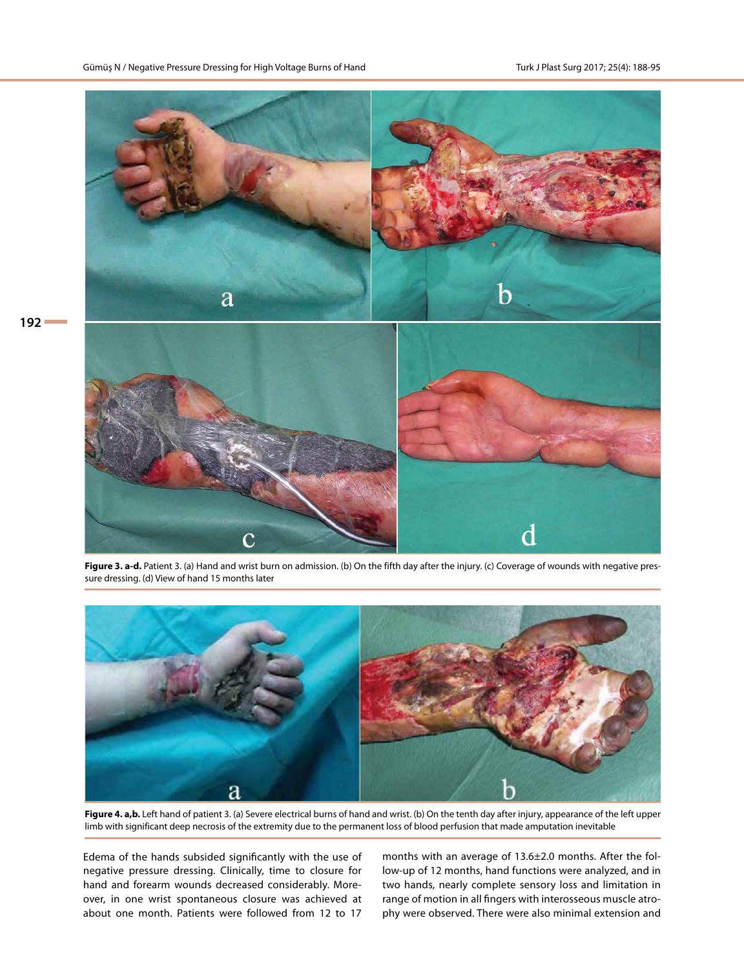**192**



Figure 3. a-d. Patient 3. (a) Hand and wrist burn on admission. (b) On the fifth day after the injury. (c) Coverage of wounds with negative pressure dressing. (d) View of hand 15 months later



Figure 4. a,b. Left hand of patient 3. (a) Severe electrical burns of hand and wrist. (b) On the tenth day after injury, appearance of the left upper limb with significant deep necrosis of the extremity due to the permanent loss of blood perfusion that made amputation inevitable

Edema of the hands subsided significantly with the use of negative pressure dressing. Clinically, time to closure for hand and forearm wounds decreased considerably. Moreover, in one wrist spontaneous closure was achieved at about one month. Patients were followed from 12 to 17

months with an average of 13.6±2.0 months. After the follow-up of 12 months, hand functions were analyzed, and in two hands, nearly complete sensory loss and limitation in range of motion in all fingers with interosseous muscle atrophy were observed. There were also minimal extension and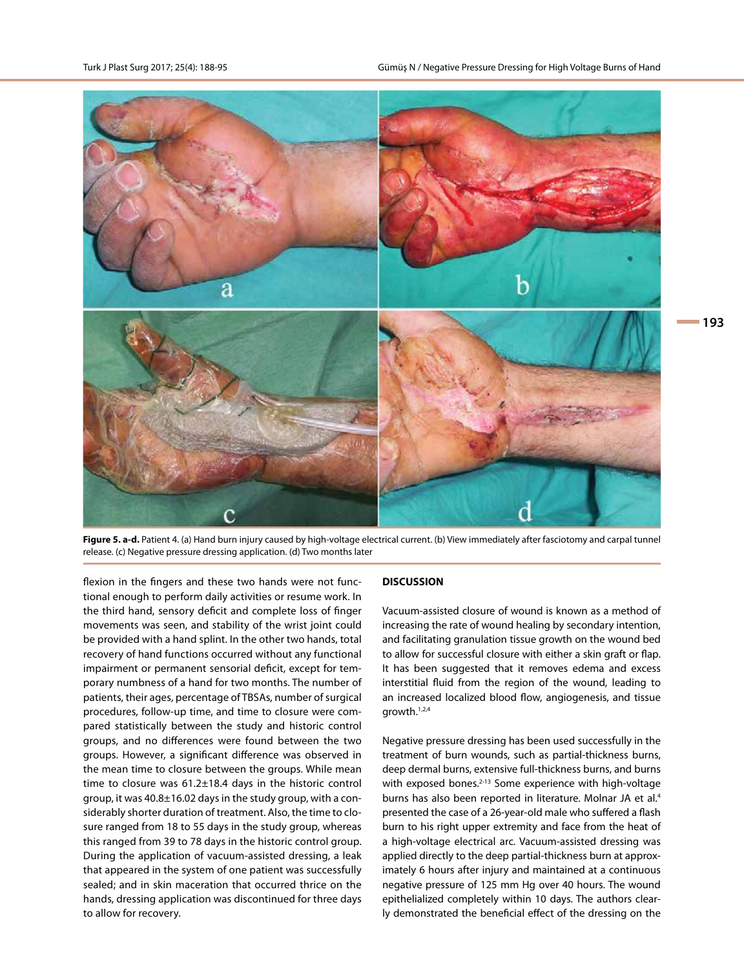

**Figure 5. a-d.** Patient 4. (a) Hand burn injury caused by high-voltage electrical current. (b) View immediately after fasciotomy and carpal tunnel release. (c) Negative pressure dressing application. (d) Two months later

flexion in the fingers and these two hands were not functional enough to perform daily activities or resume work. In the third hand, sensory deficit and complete loss of finger movements was seen, and stability of the wrist joint could be provided with a hand splint. In the other two hands, total recovery of hand functions occurred without any functional impairment or permanent sensorial deficit, except for temporary numbness of a hand for two months. The number of patients, their ages, percentage of TBSAs, number of surgical procedures, follow-up time, and time to closure were compared statistically between the study and historic control groups, and no differences were found between the two groups. However, a significant difference was observed in the mean time to closure between the groups. While mean time to closure was 61.2±18.4 days in the historic control group, it was 40.8±16.02 days in the study group, with a considerably shorter duration of treatment. Also, the time to closure ranged from 18 to 55 days in the study group, whereas this ranged from 39 to 78 days in the historic control group. During the application of vacuum-assisted dressing, a leak that appeared in the system of one patient was successfully sealed; and in skin maceration that occurred thrice on the hands, dressing application was discontinued for three days to allow for recovery.

#### **DISCUSSION**

Vacuum-assisted closure of wound is known as a method of increasing the rate of wound healing by secondary intention, and facilitating granulation tissue growth on the wound bed to allow for successful closure with either a skin graft or flap. It has been suggested that it removes edema and excess interstitial fluid from the region of the wound, leading to an increased localized blood flow, angiogenesis, and tissue growth.1,2,4

Negative pressure dressing has been used successfully in the treatment of burn wounds, such as partial-thickness burns, deep dermal burns, extensive full-thickness burns, and burns with exposed bones.<sup>2-13</sup> Some experience with high-voltage burns has also been reported in literature. Molnar JA et al.<sup>4</sup> presented the case of a 26-year-old male who suffered a flash burn to his right upper extremity and face from the heat of a high-voltage electrical arc. Vacuum-assisted dressing was applied directly to the deep partial-thickness burn at approximately 6 hours after injury and maintained at a continuous negative pressure of 125 mm Hg over 40 hours. The wound epithelialized completely within 10 days. The authors clearly demonstrated the beneficial effect of the dressing on the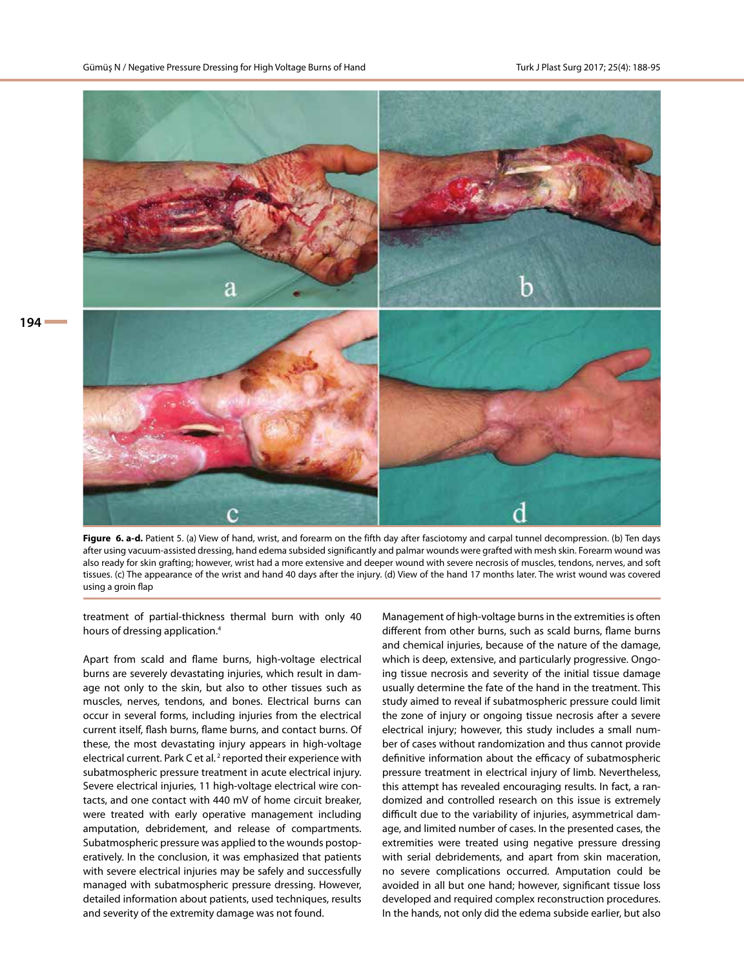**194**



Figure 6. a-d. Patient 5. (a) View of hand, wrist, and forearm on the fifth day after fasciotomy and carpal tunnel decompression. (b) Ten days after using vacuum-assisted dressing, hand edema subsided significantly and palmar wounds were grafted with mesh skin. Forearm wound was also ready for skin grafting; however, wrist had a more extensive and deeper wound with severe necrosis of muscles, tendons, nerves, and soft tissues. (c) The appearance of the wrist and hand 40 days after the injury. (d) View of the hand 17 months later. The wrist wound was covered using a groin flap

treatment of partial-thickness thermal burn with only 40 hours of dressing application.4

Apart from scald and flame burns, high-voltage electrical burns are severely devastating injuries, which result in damage not only to the skin, but also to other tissues such as muscles, nerves, tendons, and bones. Electrical burns can occur in several forms, including injuries from the electrical current itself, flash burns, flame burns, and contact burns. Of these, the most devastating injury appears in high-voltage electrical current. Park C et al.<sup>2</sup> reported their experience with subatmospheric pressure treatment in acute electrical injury. Severe electrical injuries, 11 high-voltage electrical wire contacts, and one contact with 440 mV of home circuit breaker, were treated with early operative management including amputation, debridement, and release of compartments. Subatmospheric pressure was applied to the wounds postoperatively. In the conclusion, it was emphasized that patients with severe electrical injuries may be safely and successfully managed with subatmospheric pressure dressing. However, detailed information about patients, used techniques, results and severity of the extremity damage was not found.

Management of high-voltage burns in the extremities is often different from other burns, such as scald burns, flame burns and chemical injuries, because of the nature of the damage, which is deep, extensive, and particularly progressive. Ongoing tissue necrosis and severity of the initial tissue damage usually determine the fate of the hand in the treatment. This study aimed to reveal if subatmospheric pressure could limit the zone of injury or ongoing tissue necrosis after a severe electrical injury; however, this study includes a small number of cases without randomization and thus cannot provide definitive information about the efficacy of subatmospheric pressure treatment in electrical injury of limb. Nevertheless, this attempt has revealed encouraging results. In fact, a randomized and controlled research on this issue is extremely difficult due to the variability of injuries, asymmetrical damage, and limited number of cases. In the presented cases, the extremities were treated using negative pressure dressing with serial debridements, and apart from skin maceration, no severe complications occurred. Amputation could be avoided in all but one hand; however, significant tissue loss developed and required complex reconstruction procedures. In the hands, not only did the edema subside earlier, but also